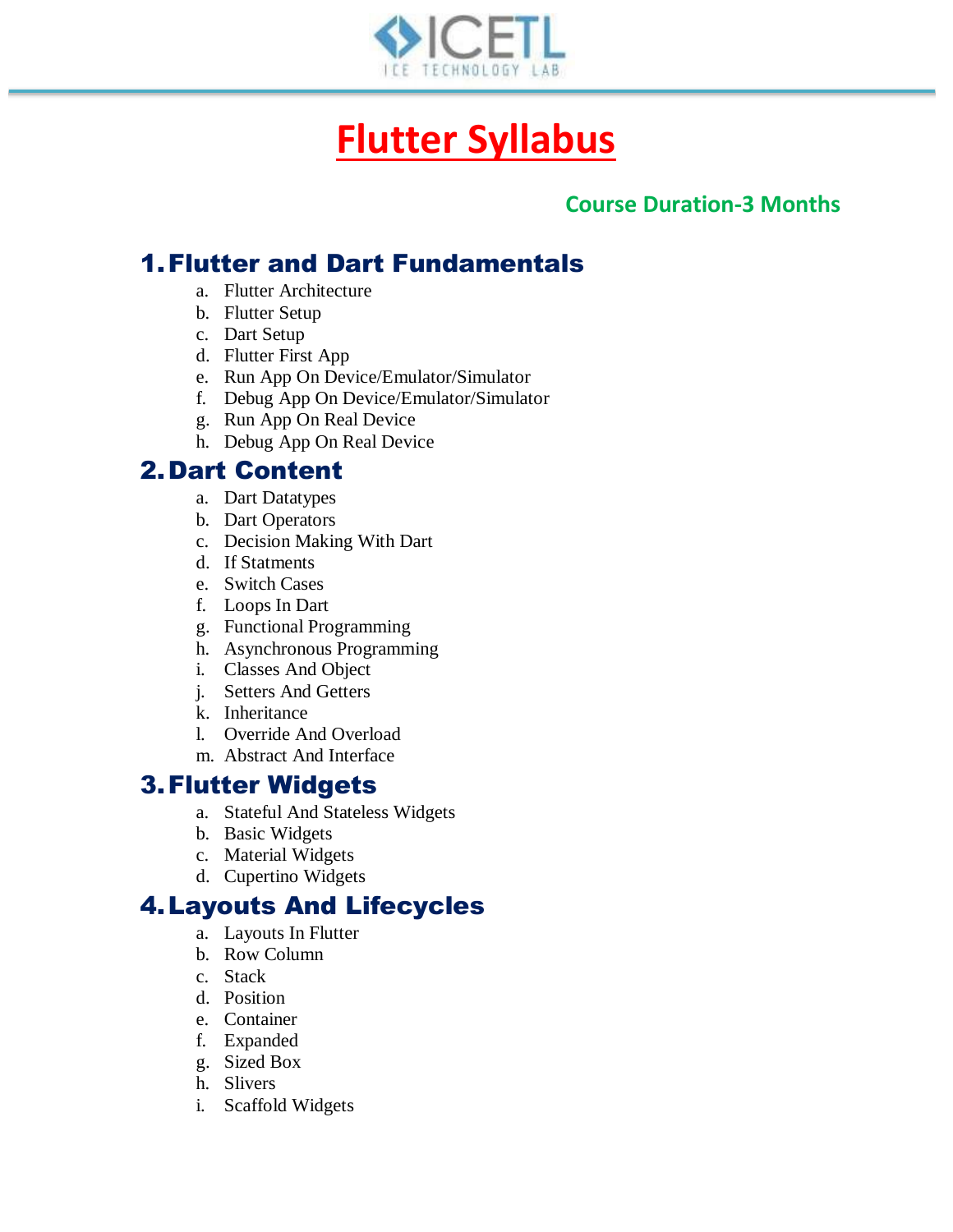

# **Flutter Syllabus**

#### **Course Duration-3 Months**

# 1.Flutter and Dart Fundamentals

- a. Flutter Architecture
- b. Flutter Setup
- c. Dart Setup
- d. Flutter First App
- e. Run App On Device/Emulator/Simulator
- f. Debug App On Device/Emulator/Simulator
- g. Run App On Real Device
- h. Debug App On Real Device

# 2.Dart Content

- a. Dart Datatypes
- b. Dart Operators
- c. Decision Making With Dart
- d. If Statments
- e. Switch Cases
- f. Loops In Dart
- g. Functional Programming
- h. Asynchronous Programming
- i. Classes And Object
- j. Setters And Getters
- k. Inheritance
- l. Override And Overload
- m. Abstract And Interface

## 3.Flutter Widgets

- a. Stateful And Stateless Widgets
- b. Basic Widgets
- c. Material Widgets
- d. Cupertino Widgets

## 4.Layouts And Lifecycles

- a. Layouts In Flutter
- b. Row Column
- c. Stack
- d. Position
- e. Container
- f. Expanded
- g. Sized Box
- h. Slivers
- i. Scaffold Widgets